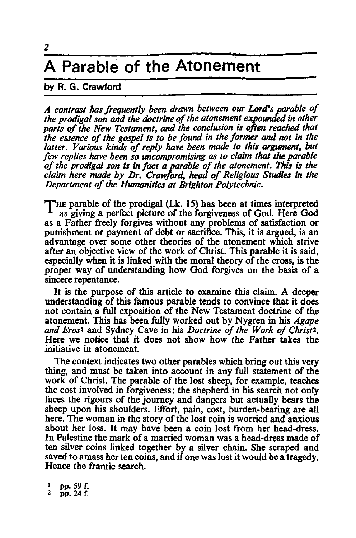## **A Parable of the Atonement**

## **by** R. G. **Crawford**

*A contrast has frequently been drawn between our Lord's parable of the prodigal son and the doctrine of the atonement expounded in other parts of the New Testament, and the conclusion is often reached that the essence of the gospel is to be found in the former and not in the*  latter. Various kinds of reply have been made to this argument, but *few replies have been so uncompromising as to claim that the parable of the prodigal son* Is *in fact a parable of the atonement. This is the claim here made by Dr. Crawford, head of Religious Studies in the Department of the Humanities at Brighton Polytechnic.* 

THE parable of the prodigal (Lk. 15) has been at times interpreted as giving a perfect picture of the forgiveness of God. Here God as a Father freely forgives without any problems of satisfaction or punishment or payment of debt or sacrifice. This, it is argued, is an advantage over some other theories of the atonement which strive after an objective view of the work of Christ. This parable it is said, especially when it is linked with the moral theory of the cross, is the proper way of understanding how God forgives on the basis of a sincere repentance.

It is the purpose of this article to examine this claim. A deeper understanding of this famous parable tends to convince that it does not contain a full exposition of the New Testament doctrine of the atonement. This has been fully worked out by Nygren in his *Agape and Erosl* and Sydney Cave in his *Doctrine of the Work of Christ2•*  Here we notice that it does not show how the Father takes the initiative in atonement.

The context indicates two other parables which bring out this very thing, and must be taken into account in any full statement of the work of Christ. The parable of the lost sheep, for example, teaches the cost involved in forgiveness: the shepherd in his search not only faces the rigours of the journey and dangers but actually bears the sheep upon his shoulders. Effort, pain, cost, burden-bearing are all here. The woman in the story of the lost coin is worried and anxious about her loss. It may have been a coin lost from her head-dress. In Palestine the mark of a married woman was a head-dress made of ten silver coins linked together by a silver chain. She scraped and saved to amass her ten coins, and if one was lost it would be a tragedy. Hence the frantic search.

 $\frac{1}{2}$  pp. 59 f.<br>  $\frac{1}{2}$  pp. 24 f.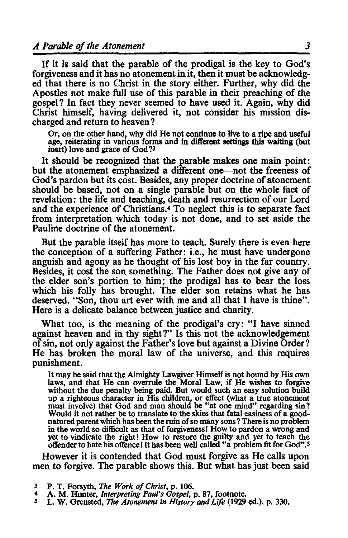If it is said that the parable of the prodigal is the key to God's forgiveness and it has no atonement in it, then it must be acknowledged that there is no Christ in the story either. Further, why did the Apostles not make full use of this parable in their preaching of the gospel? In fact they never seemed to have used it. Again, why did Christ himself, having delivered it, not consider his mission discharged and return to heaven?

Or, on the other hand, why did He not continue to live to a ripe and useful age, reiterating in various fonns and in different settings this waiting (but inert) love and grace of God?<sup>3</sup>

It should be recognized that the parable makes one main point: but the atonement emphasized a different one-not the freeness of God's pardon but its cost. Besides, any proper doctrine of atonement should be based, not on a single parable but on the whole fact of revelation: the life and teaching, death and resurrection of our Lord and the experience of Christians.4 To neglect this is to separate fact from interpretation which today is not done, and to set aside the Pauline doctrine of the atonement.

But the parable itself has more to teach. Surely there is even here the conception of a suffering Father: i.e., he must have undergone anguish and agony as he thought of his lost boy in the far country. Besides, it cost the son something. The Father does not give any of the elder son's portion to him; the prodigal has to bear the loss which his folly has brought. The elder son retains what he has deserved. "Son, thou art ever with me and all that I have is thine". Here is a delicate balance between justice and charity.

What too, is the meaning of the prodigal's cry: "I have sinned against heaven and in thy sight?" Is this not the acknowledgement of sin, not only against the Father's love but against a Divine Order? He has broken the moral law of the universe, and this requires punishment.

It may be said that the Almighty Lawgiver Himself is not bound by His own laws, and that He can overrule the Moral Law, if He wishes to forgive without the due penalty being paid. But would such an easy solution build up a righteous character in His children, or effect (what a true atonement must involve) that God and man should be "at one mind" regarding sin 1 Would it not rather be to translate to the skies that fatal easiness of a goodnatured parent which has been the ruin of so many sons 1 There is no problem in the world so difficult as that of forgiveness! How to pardon a wrong and yet to vindicate the right! How to restore the guilty and yet to teach the offender to hate his offence! It has been well called "a problem fit for God". *<sup>S</sup>*

However it is contended that God must forgive as He calls upon men to forgive. The parable shows this. But what has just been said

<sup>3</sup> P. T. Forsyth, *The Work of Christ,* p. 106. 4 A. M. Hunter, *Interpreting Paul's Gospel,* p. 87, footnote. *S* L. W. Grensted, *The Atonement in History* and *Life* (1929 ed.), p. 330.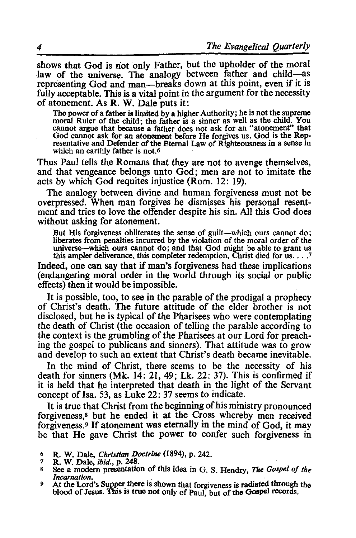shows that God is not only Father, but the upholder of the moral law of the universe. The analogy between father and child-as representing God and man-breaks down at this point, even if it is fully acceptable. This is a vital point in the argument for the necessity

of atonement. As R. W. Dale puts it:<br>The power of a father is limited by a higher Authority; he is not the supreme The power of a father is limited by a higher Authority; he is not the supreme<br>moral Ruler of the child; the father is a sinner as well as the child. You<br>cannot argue that because a father does not ask for an "atonement" th God cannot ask for an atonement before He forgives us. God is the Rep-<br>resentative and Defender of the Eternal Law of Righteousness in a sense in which an earthly father is not.<sup>6</sup>

Thus Paul tells the Romans that they are not to avenge themselves, and that vengeance belongs unto God; men are not to imitate the acts by which God requites injustice (Rom. 12: 19).

The analogy between divine and human forgiveness must not be overpressed. When man forgives he dismisses his personal resentment and tries to love the offender despite his sin. All this God does without asking for atonement.

But His forgiveness obliterates the sense of guilt-which ours cannot do; liberates from penalties incurred by the violation of the moral order of the universe—which ours cannot do; and that God might be able to grant us this ampler deliverance, this completer redemption, Christ died for us. ... 7

Indeed, one can say that if man's forgiveness had these implications (endangering moral order in the world through its social or public effects) then it would be impossible.

It is possible, too, to see in the parable of the prodigal a prophecy of Christ's death. The future attitude of the elder brother is not disclosed, but he is typical of the Pharisees who were contemplating the death of Christ (the occasion of telling the parable according to the context is the grumbling of the Pharisees at our Lord for preaching the gospel to publicans and sinners). That attitude was to grow and develop to such an extent that Christ's death became inevitable.

**In** the mind of Christ, there seems to be the necessity of his death for sinners (Mk. 14: 21, 49; Lk. 22: 37). This is confirmed if it is held that he interpreted that death in the light of the Servant concept of Isa. 53, as Luke 22: 37 seems to indicate.

It is true that Christ from the beginning of his ministry pronounced forgiveness,<sup>8</sup> but he ended it at the Cross whereby men received forgiveness. <sup>9</sup>**If** atonement was eternally in the mind of God, it may be that He gave Christ the power to confer such forgiveness in

<sup>6</sup> R. W. Dale, *Christian Doctrine* (1894), p. 242.<br>7 R. W. Dale, *ibid.*, p. 248.<br>8 See a modern presentation of this idea in G. S. Hendry, *The Gospel of the Incarnation*.

<sup>&</sup>lt;sup>9</sup> At the Lord's Supper there is shown that forgiveness is radiated through the blood of Jesus. This is true not only of Paul, but of the Gospel records.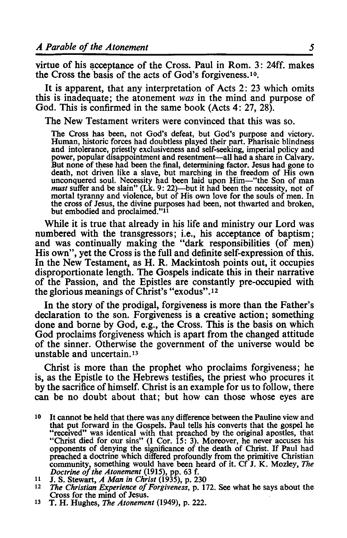virtue of his acceptance of the Cross. Paul in Rom. 3: 24ff. makes the Cross the basis of the acts of God's forgiveness. lo.

It is apparent, that any interpretation of Acts 2: 23 which omits this is inadequate; the atonement *was* in the mind and purpose of God. This is confirmed in the same book (Acts 4: 27, 28).

The New Testament writers were convinced that this was so.

The Cross has been, not God's defeat, but God's purpose and victory. Human, historic forces had doubtless played their part. Pharisaic blindness and intolerance, priestly exclusiveness and self-seeking, imperial policy and power, popular disappointment and resentment-all had a share in Calvary. But none of these had been the final, determining factor. Jesus had gone to death, not driven like a slave, but marching in the freedom of His own unconquered soul. Necessity had been laid upon Him-"the Son of man *must* suffer and be slain" (Lk. 9: 22)-but it had been the necessity, not of mortal tyranny and violence, but of His own love for the souls of men. In the cross of Jesus, the divine purposes had been, not thwarted and broken, but embodied and proclaimed."11

While it is true that already in his life and ministry our Lord was numbered with the transgressors; i.e., his acceptance of baptism; and was continually making the "dark responsibjlities (of men) His own", yet the Cross is the full and definite self-expression of this. In the New Testament, as H. R. Mackintosh points out, it occupies disproportionate length. The Gospels indicate this in their narrative of the Passion, and the Epistles are constantly pre-occupied with the glorious meanings of Christ's "exodus". 12

In the story of the prodigal, forgiveness is more than the Father's declaration to the son. Forgiveness is a creative action; something done and borne by God, e.g., the Cross. This is the basis on which God proclaims forgiveness which is apart from the changed attitude of the sinner. Otherwise the government of the universe would be unstable and uncertain. <sup>13</sup>

Christ is more than the prophet who proclaims forgiveness; he is, as the Epistle to the Hebrews testifies, the priest who procures it by the sacrifice of himself. Christ is an example for us to follow, there can be no doubt about that; but how can those whose eyes are

- <sup>10</sup> It cannot be held that there was any difference between the Pauline view and that put forward in the Gospels. Paul tells his converts that the gospel he "received" was identical with that preached by the original apostles, that "Christ died for our sins" (1 Cor. 15: 3). Moreover, he never accuses his opponents of denying the significance of the death of Christ. If Paul had preached a doctrine which differed profoundly from the primitive Christian community, something would have been heard of it. Cf J. K. Mozley, *The Doctrine of the Atonement* (1915), pp. 63 f.
- 
- *Doctring Christian Christ* (1935), p. 230<br> *Doctring Christian Experience of Forgiveness*, p. 172. See what he says about the<br>
Cross for the mind of Jesus.
- 13 T. H. Hughes, *The Atonement* (1949), p. 222.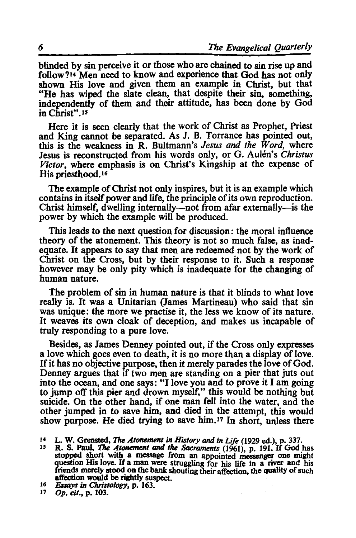blinded by sin perceive it or those who are chained to sin rise up and follow?<sup>14</sup> Men need to know and experience that God has not only shown His love and given them an example in Christ, but that "He has wiped the slate clean, that despite their sin, something, independently of them and their attitude, has been done by God in Christ". 15

Here it is seen clearly that the work of Christ as Prophet, Priest and King cannot be separated. As J. B. Torrance has pointed out, this is the weakness in R. Bultmann's *Jesus and the Word,* where Jesus is reconstructed from his words only, or G. Aulen's *Christus Victor,* where emphasis is on Christ's Kingship at the expense of His priesthood.<sup>16</sup>

The example of Christ not only inspires, but it is an example which contains in itself power and life, the principle of its own reproduction. Christ himself, dwelling internally-not from afar externally-is the power by which the example will be produced.

This leads to the next question for discussion: the moral influence theory of the atonement. This theory is not so much false, as inadequate. It appears to say that men are redeemed not by the work of Christ on the Cross, but by their response to it. Such a response however may be only pity which is inadequate for the changing of human nature.

The problem of sin in human nature is that it blinds to what love really is. It was a Unitarian (lames Martineau) who said that sin was unique: the more we practise it, the less we know of its nature. It weaves its own cloak of deception, and makes us incapable of truly responding to a pure love.

Besides, as James Denney pointed out, if the Cross only expresses a love which goes even to death, it is no more than a display of love. If it has no objective purpose, then it merely parades the love of God. Denney argues that if two men are standing on a pier that juts out into the ocean, and one says: "I love you and to prove it I am going to jump off this pier and drown myself," this would be nothing but suicide. On the other hand, if one man fell into the water, and the other jumped in to save him, and died in the attempt, this would show purpose. He died trying to save him.<sup>17</sup> In short, unless there

<sup>16</sup>*Essays* in *ehristology,* p. 163.

<sup>14</sup> L. W. Grensted, *The Atonement in History and in Life* (1929 ed.), p. 337. R. S. Paul, *The Atonement and the Sacraments* (1961), p. 191. If God has stopped short with a message from an appointed messenger one might question His love. If a man were struggling for his life in a river and his friends merely stood on the bank shouting their affection, the quality of such affection would be rightly suspect.

Op. cit., p. 103.